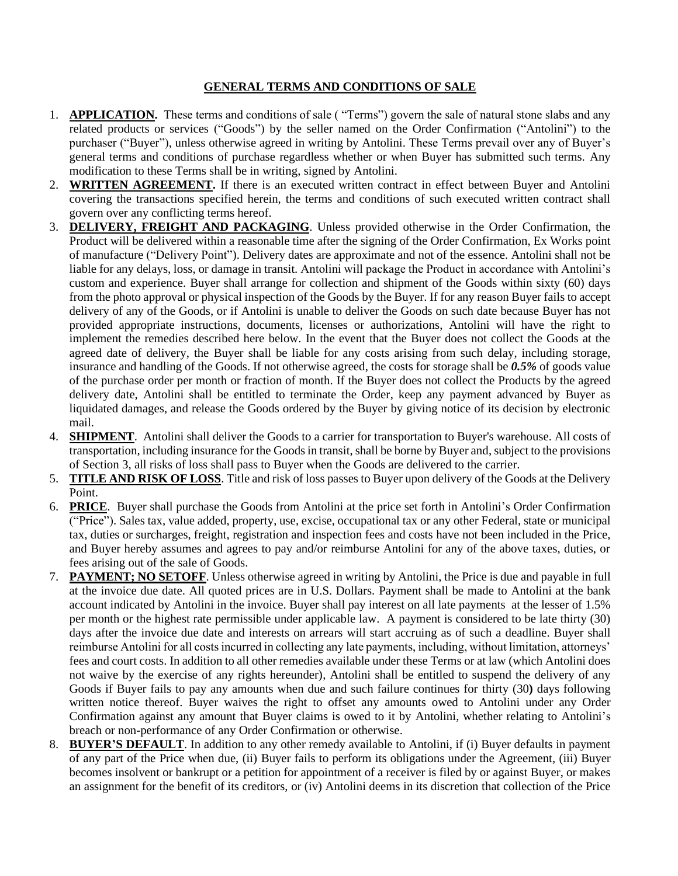## **GENERAL TERMS AND CONDITIONS OF SALE**

- 1. **APPLICATION.** These terms and conditions of sale ( "Terms") govern the sale of natural stone slabs and any related products or services ("Goods") by the seller named on the Order Confirmation ("Antolini") to the purchaser ("Buyer"), unless otherwise agreed in writing by Antolini. These Terms prevail over any of Buyer's general terms and conditions of purchase regardless whether or when Buyer has submitted such terms. Any modification to these Terms shall be in writing, signed by Antolini.
- 2. **WRITTEN AGREEMENT.** If there is an executed written contract in effect between Buyer and Antolini covering the transactions specified herein, the terms and conditions of such executed written contract shall govern over any conflicting terms hereof.
- 3. **DELIVERY, FREIGHT AND PACKAGING**. Unless provided otherwise in the Order Confirmation, the Product will be delivered within a reasonable time after the signing of the Order Confirmation, Ex Works point of manufacture ("Delivery Point"). Delivery dates are approximate and not of the essence. Antolini shall not be liable for any delays, loss, or damage in transit. Antolini will package the Product in accordance with Antolini's custom and experience. Buyer shall arrange for collection and shipment of the Goods within sixty (60) days from the photo approval or physical inspection of the Goods by the Buyer. If for any reason Buyer fails to accept delivery of any of the Goods, or if Antolini is unable to deliver the Goods on such date because Buyer has not provided appropriate instructions, documents, licenses or authorizations, Antolini will have the right to implement the remedies described here below. In the event that the Buyer does not collect the Goods at the agreed date of delivery, the Buyer shall be liable for any costs arising from such delay, including storage, insurance and handling of the Goods. If not otherwise agreed, the costs for storage shall be *0.5%* of goods value of the purchase order per month or fraction of month. If the Buyer does not collect the Products by the agreed delivery date, Antolini shall be entitled to terminate the Order, keep any payment advanced by Buyer as liquidated damages, and release the Goods ordered by the Buyer by giving notice of its decision by electronic mail.
- 4. **SHIPMENT**. Antolini shall deliver the Goods to a carrier for transportation to Buyer's warehouse. All costs of transportation, including insurance for the Goods in transit, shall be borne by Buyer and, subject to the provisions of Section 3, all risks of loss shall pass to Buyer when the Goods are delivered to the carrier.
- 5. **TITLE AND RISK OF LOSS**. Title and risk of loss passes to Buyer upon delivery of the Goods at the Delivery Point.
- 6. **PRICE**. Buyer shall purchase the Goods from Antolini at the price set forth in Antolini's Order Confirmation ("Price"). Sales tax, value added, property, use, excise, occupational tax or any other Federal, state or municipal tax, duties or surcharges, freight, registration and inspection fees and costs have not been included in the Price, and Buyer hereby assumes and agrees to pay and/or reimburse Antolini for any of the above taxes, duties, or fees arising out of the sale of Goods.
- 7. **PAYMENT; NO SETOFF**. Unless otherwise agreed in writing by Antolini, the Price is due and payable in full at the invoice due date. All quoted prices are in U.S. Dollars. Payment shall be made to Antolini at the bank account indicated by Antolini in the invoice. Buyer shall pay interest on all late payments at the lesser of 1.5% per month or the highest rate permissible under applicable law. A payment is considered to be late thirty (30) days after the invoice due date and interests on arrears will start accruing as of such a deadline. Buyer shall reimburse Antolini for all costs incurred in collecting any late payments, including, without limitation, attorneys' fees and court costs. In addition to all other remedies available under these Terms or at law (which Antolini does not waive by the exercise of any rights hereunder), Antolini shall be entitled to suspend the delivery of any Goods if Buyer fails to pay any amounts when due and such failure continues for thirty (30**)** days following written notice thereof. Buyer waives the right to offset any amounts owed to Antolini under any Order Confirmation against any amount that Buyer claims is owed to it by Antolini, whether relating to Antolini's breach or non-performance of any Order Confirmation or otherwise.
- 8. **BUYER'S DEFAULT**. In addition to any other remedy available to Antolini, if (i) Buyer defaults in payment of any part of the Price when due, (ii) Buyer fails to perform its obligations under the Agreement, (iii) Buyer becomes insolvent or bankrupt or a petition for appointment of a receiver is filed by or against Buyer, or makes an assignment for the benefit of its creditors, or (iv) Antolini deems in its discretion that collection of the Price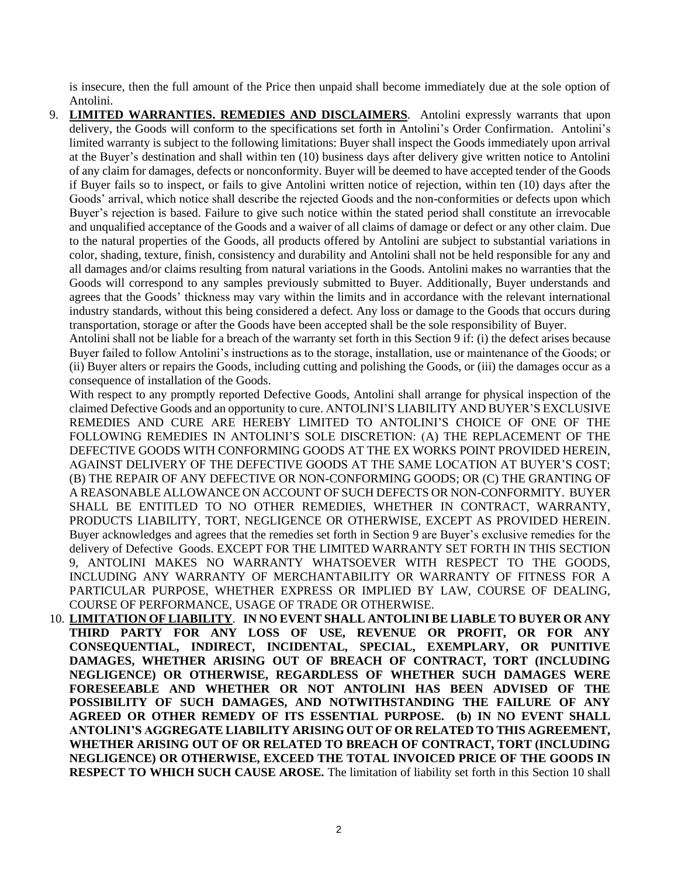is insecure, then the full amount of the Price then unpaid shall become immediately due at the sole option of Antolini.

9. **LIMITED WARRANTIES. REMEDIES AND DISCLAIMERS**. Antolini expressly warrants that upon delivery, the Goods will conform to the specifications set forth in Antolini's Order Confirmation. Antolini's limited warranty is subject to the following limitations: Buyer shall inspect the Goods immediately upon arrival at the Buyer's destination and shall within ten (10) business days after delivery give written notice to Antolini of any claim for damages, defects or nonconformity. Buyer will be deemed to have accepted tender of the Goods if Buyer fails so to inspect, or fails to give Antolini written notice of rejection, within ten (10) days after the Goods' arrival, which notice shall describe the rejected Goods and the non-conformities or defects upon which Buyer's rejection is based. Failure to give such notice within the stated period shall constitute an irrevocable and unqualified acceptance of the Goods and a waiver of all claims of damage or defect or any other claim. Due to the natural properties of the Goods, all products offered by Antolini are subject to substantial variations in color, shading, texture, finish, consistency and durability and Antolini shall not be held responsible for any and all damages and/or claims resulting from natural variations in the Goods. Antolini makes no warranties that the Goods will correspond to any samples previously submitted to Buyer. Additionally, Buyer understands and agrees that the Goods' thickness may vary within the limits and in accordance with the relevant international industry standards, without this being considered a defect. Any loss or damage to the Goods that occurs during transportation, storage or after the Goods have been accepted shall be the sole responsibility of Buyer.

Antolini shall not be liable for a breach of the warranty set forth in this Section 9 if: (i) the defect arises because Buyer failed to follow Antolini's instructions as to the storage, installation, use or maintenance of the Goods; or (ii) Buyer alters or repairs the Goods, including cutting and polishing the Goods, or (iii) the damages occur as a consequence of installation of the Goods.

With respect to any promptly reported Defective Goods, Antolini shall arrange for physical inspection of the claimed Defective Goods and an opportunity to cure. ANTOLINI'S LIABILITY AND BUYER'S EXCLUSIVE REMEDIES AND CURE ARE HEREBY LIMITED TO ANTOLINI'S CHOICE OF ONE OF THE FOLLOWING REMEDIES IN ANTOLINI'S SOLE DISCRETION: (A) THE REPLACEMENT OF THE DEFECTIVE GOODS WITH CONFORMING GOODS AT THE EX WORKS POINT PROVIDED HEREIN, AGAINST DELIVERY OF THE DEFECTIVE GOODS AT THE SAME LOCATION AT BUYER'S COST; (B) THE REPAIR OF ANY DEFECTIVE OR NON-CONFORMING GOODS; OR (C) THE GRANTING OF A REASONABLE ALLOWANCE ON ACCOUNT OF SUCH DEFECTS OR NON-CONFORMITY. BUYER SHALL BE ENTITLED TO NO OTHER REMEDIES, WHETHER IN CONTRACT, WARRANTY, PRODUCTS LIABILITY, TORT, NEGLIGENCE OR OTHERWISE, EXCEPT AS PROVIDED HEREIN. Buyer acknowledges and agrees that the remedies set forth in Section 9 are Buyer's exclusive remedies for the delivery of Defective Goods. EXCEPT FOR THE LIMITED WARRANTY SET FORTH IN THIS SECTION 9, ANTOLINI MAKES NO WARRANTY WHATSOEVER WITH RESPECT TO THE GOODS, INCLUDING ANY WARRANTY OF MERCHANTABILITY OR WARRANTY OF FITNESS FOR A PARTICULAR PURPOSE, WHETHER EXPRESS OR IMPLIED BY LAW, COURSE OF DEALING, COURSE OF PERFORMANCE, USAGE OF TRADE OR OTHERWISE.

10. **LIMITATION OF LIABILITY**. **IN NO EVENT SHALL ANTOLINI BE LIABLE TO BUYER OR ANY THIRD PARTY FOR ANY LOSS OF USE, REVENUE OR PROFIT, OR FOR ANY CONSEQUENTIAL, INDIRECT, INCIDENTAL, SPECIAL, EXEMPLARY, OR PUNITIVE DAMAGES, WHETHER ARISING OUT OF BREACH OF CONTRACT, TORT (INCLUDING NEGLIGENCE) OR OTHERWISE, REGARDLESS OF WHETHER SUCH DAMAGES WERE FORESEEABLE AND WHETHER OR NOT ANTOLINI HAS BEEN ADVISED OF THE POSSIBILITY OF SUCH DAMAGES, AND NOTWITHSTANDING THE FAILURE OF ANY AGREED OR OTHER REMEDY OF ITS ESSENTIAL PURPOSE. (b) IN NO EVENT SHALL ANTOLINI'S AGGREGATE LIABILITY ARISING OUT OF OR RELATED TO THIS AGREEMENT, WHETHER ARISING OUT OF OR RELATED TO BREACH OF CONTRACT, TORT (INCLUDING NEGLIGENCE) OR OTHERWISE, EXCEED THE TOTAL INVOICED PRICE OF THE GOODS IN RESPECT TO WHICH SUCH CAUSE AROSE.** The limitation of liability set forth in this Section 10 shall